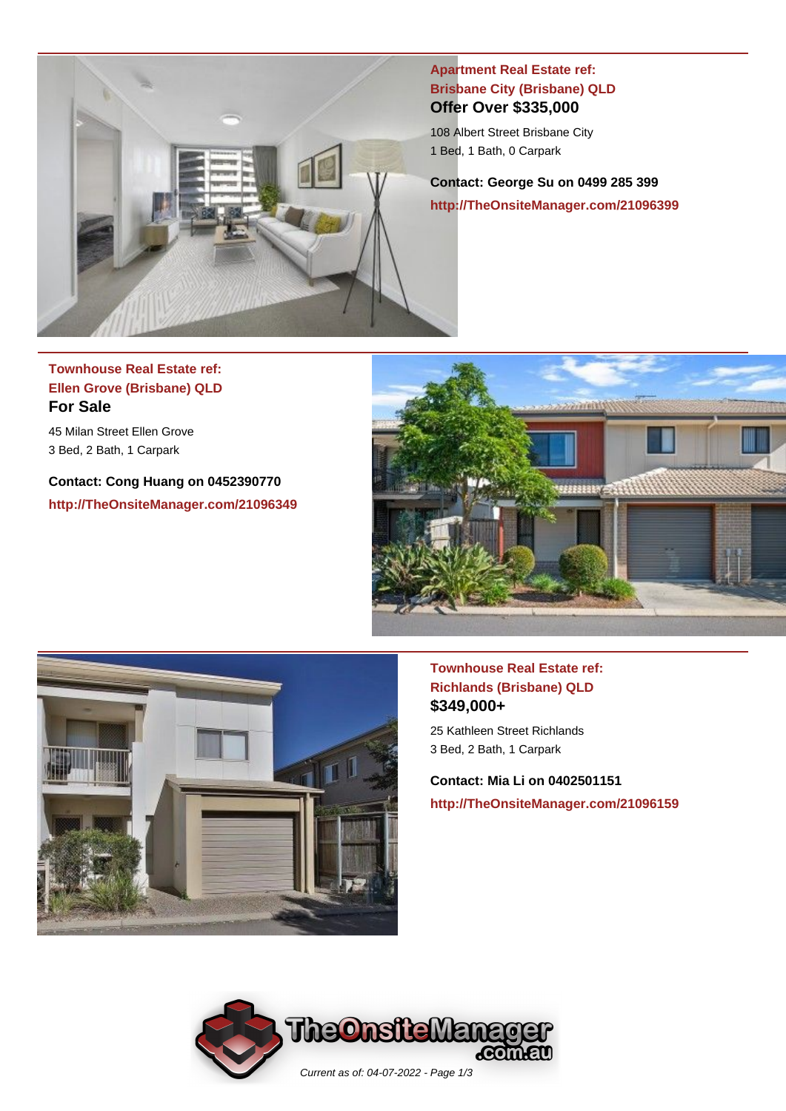

**Apartment Real Estate ref: Brisbane City (Brisbane) QLD Offer Over \$335,000**

108 Albert Street Brisbane City 1 Bed, 1 Bath, 0 Carpark

**Contact: George Su on 0499 285 399 http://TheOnsiteManager.com/21096399**

# **Townhouse Real Estate ref: Ellen Grove (Brisbane) QLD For Sale**

45 Milan Street Ellen Grove 3 Bed, 2 Bath, 1 Carpark

**Contact: Cong Huang on 0452390770 http://TheOnsiteManager.com/21096349**





#### **Townhouse Real Estate ref: Richlands (Brisbane) QLD \$349,000+**

25 Kathleen Street Richlands 3 Bed, 2 Bath, 1 Carpark

**Contact: Mia Li on 0402501151 http://TheOnsiteManager.com/21096159**

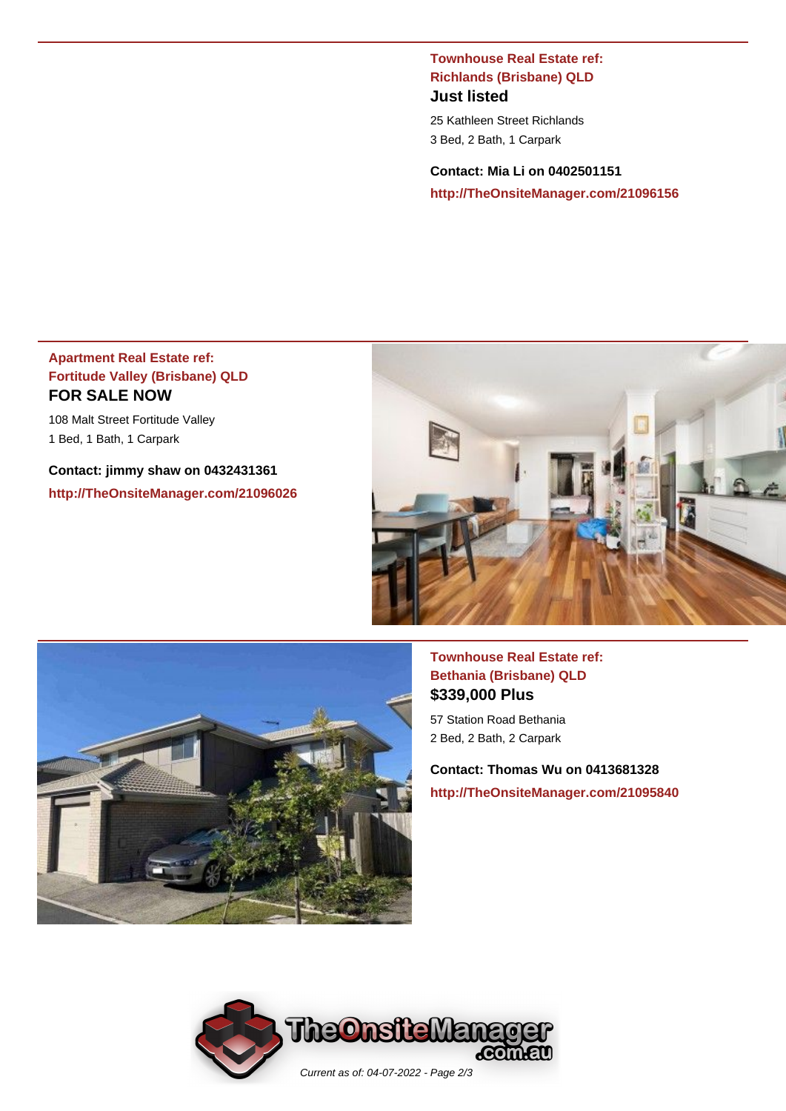#### **Townhouse Real Estate ref: Richlands (Brisbane) QLD Just listed**

25 Kathleen Street Richlands 3 Bed, 2 Bath, 1 Carpark

**Contact: Mia Li on 0402501151 http://TheOnsiteManager.com/21096156**

#### **Apartment Real Estate ref: Fortitude Valley (Brisbane) QLD FOR SALE NOW**

108 Malt Street Fortitude Valley 1 Bed, 1 Bath, 1 Carpark

**Contact: jimmy shaw on 0432431361 http://TheOnsiteManager.com/21096026**





### **Townhouse Real Estate ref: Bethania (Brisbane) QLD \$339,000 Plus**

57 Station Road Bethania 2 Bed, 2 Bath, 2 Carpark

**Contact: Thomas Wu on 0413681328 http://TheOnsiteManager.com/21095840**